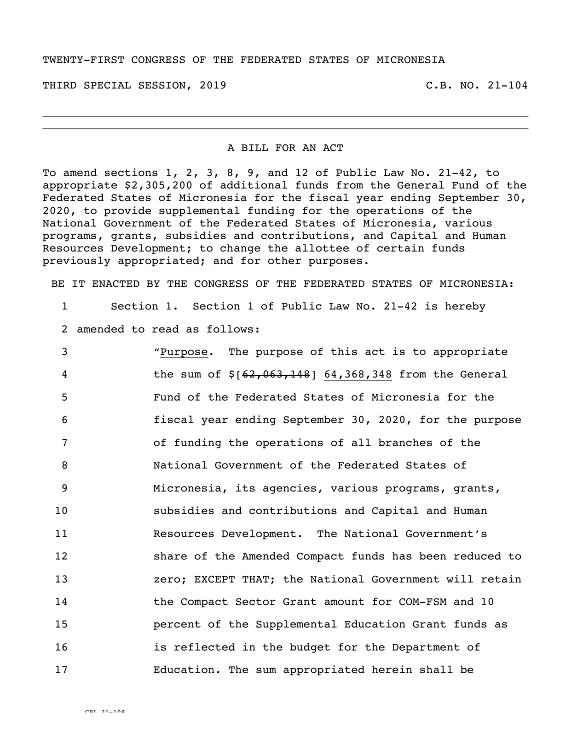## TWENTY-FIRST CONGRESS OF THE FEDERATED STATES OF MICRONESIA

THIRD SPECIAL SESSION, 2019 C.B. NO. 21-104

## A BILL FOR AN ACT

To amend sections 1, 2, 3, 8, 9, and 12 of Public Law No. 21-42, to appropriate \$2,305,200 of additional funds from the General Fund of the Federated States of Micronesia for the fiscal year ending September 30, 2020, to provide supplemental funding for the operations of the National Government of the Federated States of Micronesia, various programs, grants, subsidies and contributions, and Capital and Human Resources Development; to change the allottee of certain funds previously appropriated; and for other purposes.

BE IT ENACTED BY THE CONGRESS OF THE FEDERATED STATES OF MICRONESIA:

1 Section 1. Section 1 of Public Law No. 21-42 is hereby

2 amended to read as follows:

| 3               | "Purpose. The purpose of this act is to appropriate      |
|-----------------|----------------------------------------------------------|
| $\overline{4}$  | the sum of $$[62, 063, 148]$ 64,368,348 from the General |
| 5               | Fund of the Federated States of Micronesia for the       |
| 6               | fiscal year ending September 30, 2020, for the purpose   |
| 7               | of funding the operations of all branches of the         |
| 8               | National Government of the Federated States of           |
| 9               | Micronesia, its agencies, various programs, grants,      |
| 10 <sub>o</sub> | subsidies and contributions and Capital and Human        |
| 11              | Resources Development. The National Government's         |
| 12              | share of the Amended Compact funds has been reduced to   |
| 13              | zero; EXCEPT THAT; the National Government will retain   |
| 14              | the Compact Sector Grant amount for COM-FSM and 10       |
| 15              | percent of the Supplemental Education Grant funds as     |
| 16              | is reflected in the budget for the Department of         |
| 17              | Education. The sum appropriated herein shall be          |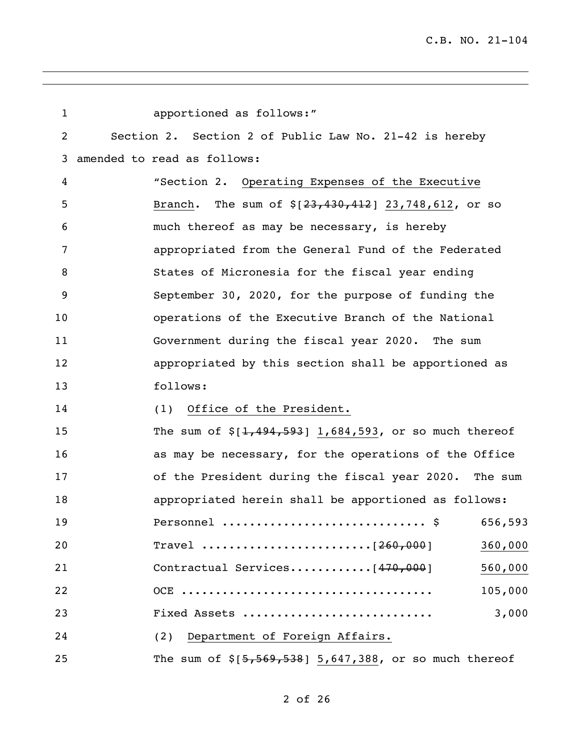| $\mathbf 1$ | apportioned as follows:"                                   |  |
|-------------|------------------------------------------------------------|--|
| 2           | Section 2. Section 2 of Public Law No. 21-42 is hereby     |  |
| 3           | amended to read as follows:                                |  |
| 4           | "Section 2. Operating Expenses of the Executive            |  |
| 5           | Branch. The sum of $$[23,430,412]$ 23,748,612, or so       |  |
| 6           | much thereof as may be necessary, is hereby                |  |
| 7           | appropriated from the General Fund of the Federated        |  |
| 8           | States of Micronesia for the fiscal year ending            |  |
| 9           | September 30, 2020, for the purpose of funding the         |  |
| 10          | operations of the Executive Branch of the National         |  |
| 11          | Government during the fiscal year 2020. The sum            |  |
| 12          | appropriated by this section shall be apportioned as       |  |
| 13          | follows:                                                   |  |
| 14          | Office of the President.<br>(1)                            |  |
| 15          | The sum of $\S[1, 494, 593]$ 1,684,593, or so much thereof |  |
| 16          | as may be necessary, for the operations of the Office      |  |
| 17          | of the President during the fiscal year 2020. The sum      |  |
| 18          | appropriated herein shall be apportioned as follows:       |  |
| 19          | \$<br>656,593<br>Personnel                                 |  |
| 20          | 360,000                                                    |  |
| 21          | 560,000                                                    |  |
| 22          | 105,000                                                    |  |
| 23          | 3,000<br>Fixed Assets                                      |  |
| 24          | (2) Department of Foreign Affairs.                         |  |
| 25          | The sum of $$[5,569,538]$ 5,647,388, or so much thereof    |  |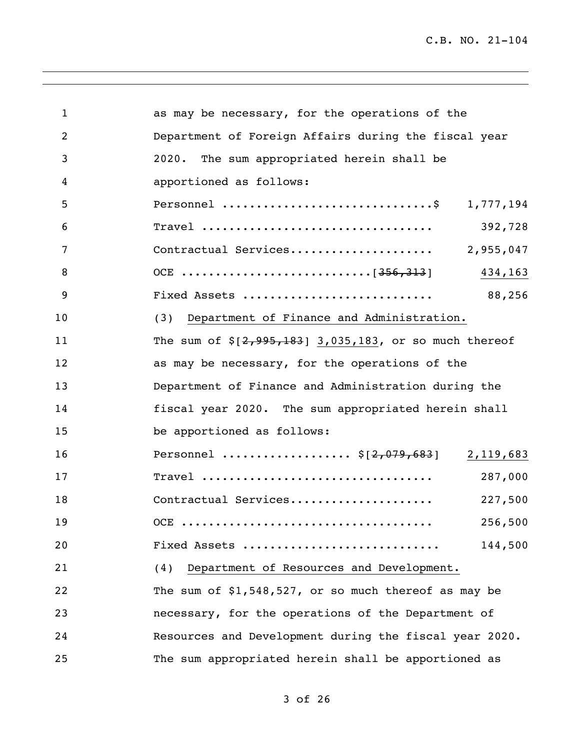| $\mathbf{1}$ | as may be necessary, for the operations of the             |
|--------------|------------------------------------------------------------|
| 2            | Department of Foreign Affairs during the fiscal year       |
| 3            | The sum appropriated herein shall be<br>2020.              |
| 4            | apportioned as follows:                                    |
| 5            | Personnel \$ 1,777,194                                     |
| 6            | 392,728                                                    |
| 7            | Contractual Services<br>2,955,047                          |
| 8            | 434,163                                                    |
| 9            | 88,256<br>Fixed Assets                                     |
| 10           | (3) Department of Finance and Administration.              |
| 11           | The sum of $\S[2, 995, 183]$ 3,035,183, or so much thereof |
| 12           | as may be necessary, for the operations of the             |
| 13           | Department of Finance and Administration during the        |
| 14           | fiscal year 2020. The sum appropriated herein shall        |
| 15           | be apportioned as follows:                                 |
| 16           | Personnel  \$[2,079,683] 2,119,683                         |
| 17           | 287,000                                                    |
| 18           | Contractual Services<br>227,500                            |
| 19           | 256,500                                                    |
| 20           | 144,500<br>Fixed Assets                                    |
| 21           | Department of Resources and Development.<br>(4)            |
| 22           | The sum of $$1,548,527$ , or so much thereof as may be     |
| 23           | necessary, for the operations of the Department of         |
| 24           | Resources and Development during the fiscal year 2020.     |
| 25           | The sum appropriated herein shall be apportioned as        |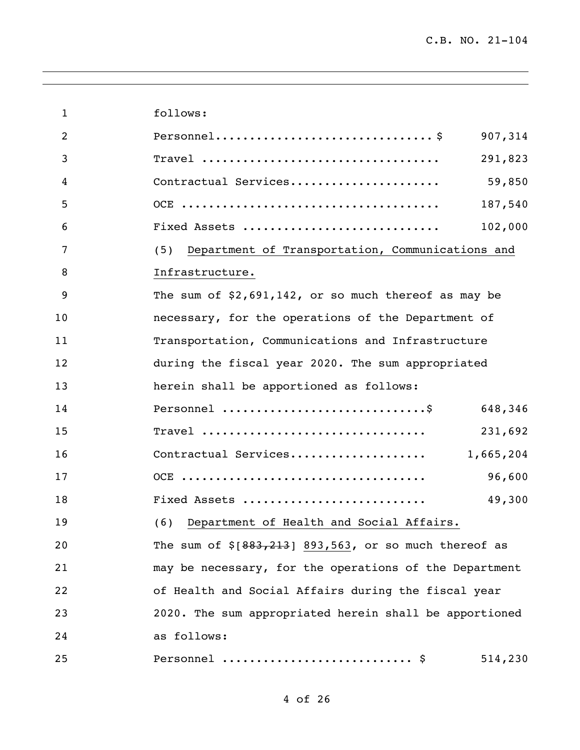| $\mathbf{1}$   | follows:                                                 |           |
|----------------|----------------------------------------------------------|-----------|
| $\overline{2}$ |                                                          | 907,314   |
| 3              |                                                          | 291,823   |
| 4              | Contractual Services                                     | 59,850    |
| 5              |                                                          | 187,540   |
| 6              | Fixed Assets                                             | 102,000   |
| 7              | (5) Department of Transportation, Communications and     |           |
| 8              | Infrastructure.                                          |           |
| 9              | The sum of $$2,691,142$ , or so much thereof as may be   |           |
| 10             | necessary, for the operations of the Department of       |           |
| 11             | Transportation, Communications and Infrastructure        |           |
| 12             | during the fiscal year 2020. The sum appropriated        |           |
| 13             | herein shall be apportioned as follows:                  |           |
| 14             |                                                          | 648,346   |
| 15             | Travel                                                   | 231,692   |
| 16             | Contractual Services                                     | 1,665,204 |
| 17             |                                                          | 96,600    |
| 18             | Fixed Assets                                             | 49,300    |
| 19             | (6) Department of Health and Social Affairs.             |           |
| 20             | The sum of $\S[883, 213]$ 893,563, or so much thereof as |           |
| 21             | may be necessary, for the operations of the Department   |           |
| 22             | of Health and Social Affairs during the fiscal year      |           |
| 23             | 2020. The sum appropriated herein shall be apportioned   |           |
| 24             | as follows:                                              |           |
| 25             | Personnel  \$                                            | 514,230   |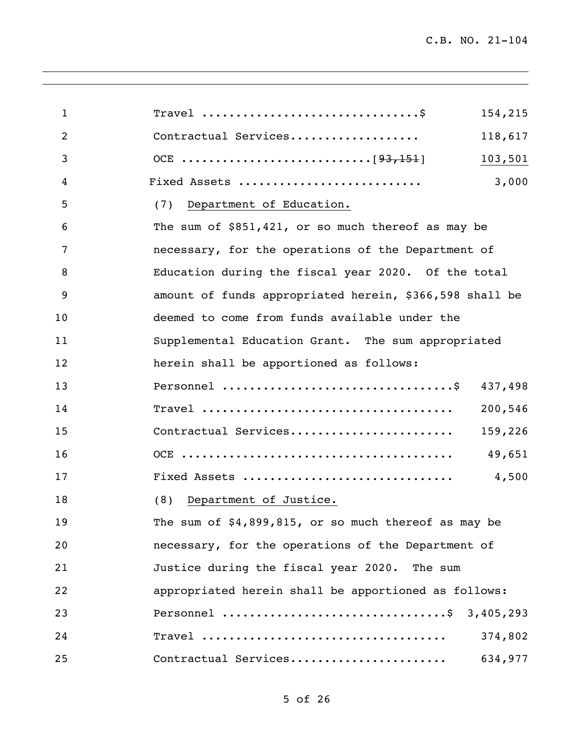| $\mathbf{1}$   | Travel $\dots\dots\dots\dots\dots\dots\dots\dots\dots\dots\dots$<br>154,215 |
|----------------|-----------------------------------------------------------------------------|
| $\overline{2}$ | Contractual Services<br>118,617                                             |
| 3              | 103,501                                                                     |
| 4              | 3,000<br>Fixed Assets                                                       |
| 5              | (7) Department of Education.                                                |
| 6              | The sum of $$851,421$ , or so much thereof as may be                        |
| 7              | necessary, for the operations of the Department of                          |
| 8              | Education during the fiscal year 2020. Of the total                         |
| 9              | amount of funds appropriated herein, \$366,598 shall be                     |
| 10             | deemed to come from funds available under the                               |
| 11             | Supplemental Education Grant. The sum appropriated                          |
| 12             | herein shall be apportioned as follows:                                     |
| 13             | 437,498                                                                     |
| 14             | 200,546                                                                     |
| 15             | Contractual Services<br>159,226                                             |
| 16             | 49,651                                                                      |
| 17             | Fixed Assets<br>4,500                                                       |
| 18             | Department of Justice.<br>(8)                                               |
| 19             | The sum of $$4,899,815$ , or so much thereof as may be                      |
| 20             | necessary, for the operations of the Department of                          |
| 21             | Justice during the fiscal year 2020. The sum                                |
| 22             | appropriated herein shall be apportioned as follows:                        |
| 23             | Personnel \$ 3,405,293                                                      |
| 24             | 374,802                                                                     |
| 25             | Contractual Services<br>634,977                                             |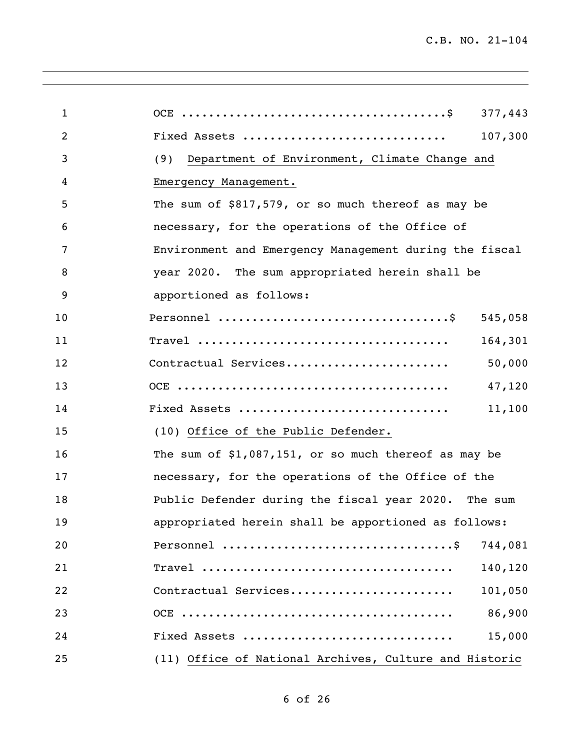| $\mathbf{1}$   | 377,443                                                |
|----------------|--------------------------------------------------------|
| $\overline{2}$ | Fixed Assets<br>107,300                                |
| 3              | Department of Environment, Climate Change and<br>(9)   |
| 4              | Emergency Management.                                  |
| 5              | The sum of \$817,579, or so much thereof as may be     |
| 6              | necessary, for the operations of the Office of         |
| 7              | Environment and Emergency Management during the fiscal |
| 8              | year 2020. The sum appropriated herein shall be        |
| 9              | apportioned as follows:                                |
| 10             | 545,058                                                |
| 11             | 164,301                                                |
| 12             | Contractual Services<br>50,000                         |
| 13             | 47,120                                                 |
| 14             | Fixed Assets<br>11,100                                 |
| 15             | (10) Office of the Public Defender.                    |
| 16             | The sum of $$1,087,151$ , or so much thereof as may be |
| 17             | necessary, for the operations of the Office of the     |
| 18             | Public Defender during the fiscal year 2020. The sum   |
| 19             | appropriated herein shall be apportioned as follows:   |
| 20             | 744,081                                                |
| 21             | 140,120                                                |
| 22             | Contractual Services<br>101,050                        |
| 23             | 86,900                                                 |
| 24             | Fixed Assets<br>15,000                                 |
| 25             | (11) Office of National Archives, Culture and Historic |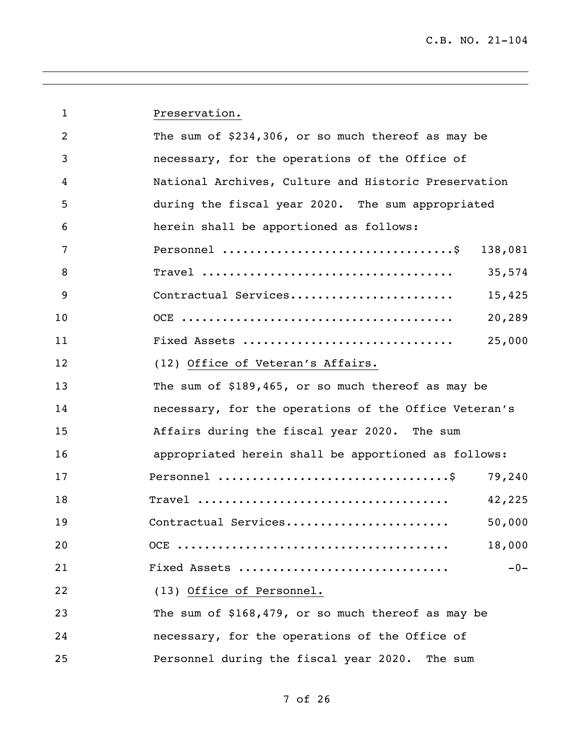| $\mathbf{1}$   | Preservation.                                         |  |
|----------------|-------------------------------------------------------|--|
| $\overline{2}$ | The sum of $$234,306$ , or so much thereof as may be  |  |
| 3              | necessary, for the operations of the Office of        |  |
| 4              | National Archives, Culture and Historic Preservation  |  |
| 5              | during the fiscal year 2020. The sum appropriated     |  |
| 6              | herein shall be apportioned as follows:               |  |
| 7              | 138,081                                               |  |
| 8              | 35,574                                                |  |
| 9              | Contractual Services<br>15,425                        |  |
| 10             | 20,289                                                |  |
| 11             | 25,000<br>Fixed Assets                                |  |
| 12             | (12) Office of Veteran's Affairs.                     |  |
| 13             | The sum of \$189,465, or so much thereof as may be    |  |
| 14             | necessary, for the operations of the Office Veteran's |  |
| 15             | Affairs during the fiscal year 2020. The sum          |  |
| 16             | appropriated herein shall be apportioned as follows:  |  |
| 17             | 79,240                                                |  |
| 18             | 42,225                                                |  |
| 19             | Contractual Services<br>50,000                        |  |
| 20             | 18,000                                                |  |
| 21             | Fixed Assets<br>$-0-$                                 |  |
| 22             | (13) Office of Personnel.                             |  |
| 23             | The sum of \$168,479, or so much thereof as may be    |  |
| 24             | necessary, for the operations of the Office of        |  |
| 25             | Personnel during the fiscal year 2020. The sum        |  |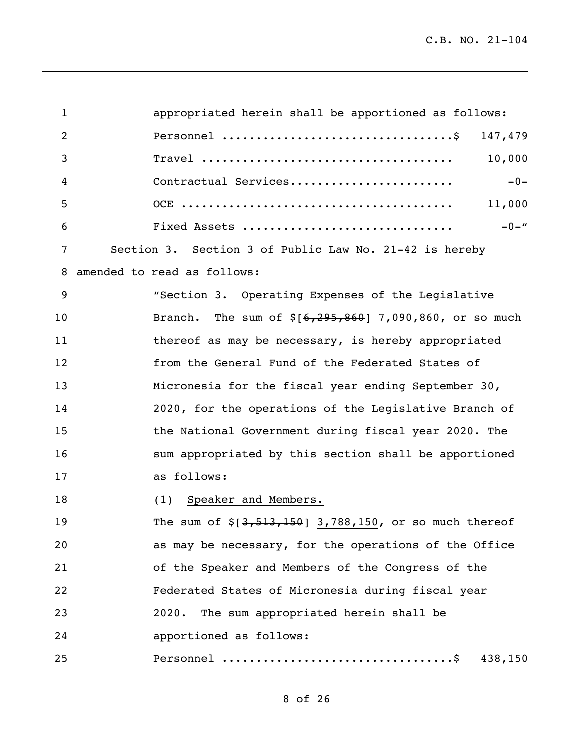| $\mathbf 1$    | appropriated herein shall be apportioned as follows:       |
|----------------|------------------------------------------------------------|
| $\overline{2}$ | 147,479                                                    |
| 3              | 10,000                                                     |
| 4              | $-0-$<br>Contractual Services                              |
| 5              | 11,000                                                     |
| 6              | $-0-$ "<br>Fixed Assets                                    |
| 7              | Section 3. Section 3 of Public Law No. 21-42 is hereby     |
| 8              | amended to read as follows:                                |
| 9              | "Section 3. Operating Expenses of the Legislative          |
| 10             | Branch. The sum of $$[6,295,860]$ 7,090,860, or so much    |
| 11             | thereof as may be necessary, is hereby appropriated        |
| 12             | from the General Fund of the Federated States of           |
| 13             | Micronesia for the fiscal year ending September 30,        |
| 14             | 2020, for the operations of the Legislative Branch of      |
| 15             | the National Government during fiscal year 2020. The       |
| 16             | sum appropriated by this section shall be apportioned      |
| 17             | as follows:                                                |
| 18             | (1) Speaker and Members.                                   |
| 19             | The sum of $\S[3, 513, 150]$ 3,788,150, or so much thereof |
| 20             | as may be necessary, for the operations of the Office      |
| 21             | of the Speaker and Members of the Congress of the          |
| 22             | Federated States of Micronesia during fiscal year          |
| 23             | The sum appropriated herein shall be<br>2020.              |
| 24             | apportioned as follows:                                    |
| 25             | 438,150                                                    |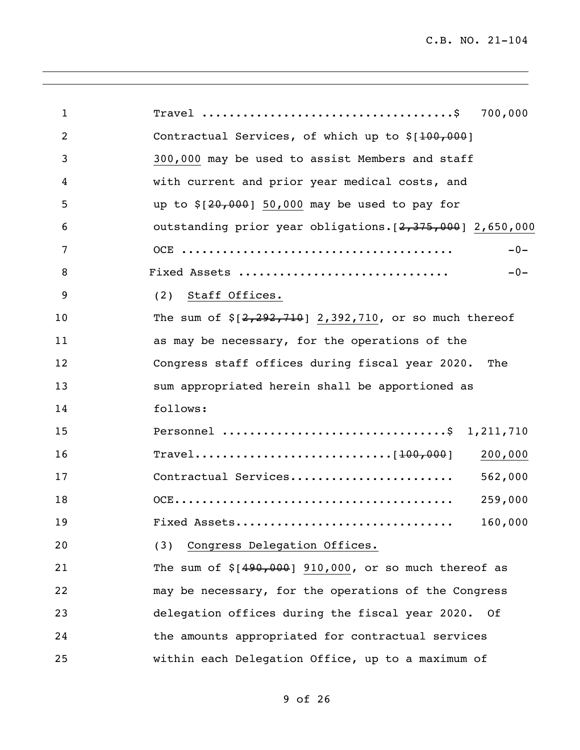| $\mathbf{1}$   | 700,000                                                    |
|----------------|------------------------------------------------------------|
| $\overline{2}$ | Contractual Services, of which up to \$[100,000]           |
| 3              | 300,000 may be used to assist Members and staff            |
| 4              | with current and prior year medical costs, and             |
| 5              | up to $$[20,000]$ 50,000 may be used to pay for            |
| 6              | outstanding prior year obligations. [2,375,000] 2,650,000  |
| 7              | $-0-$                                                      |
| 8              | Fixed Assets<br>$-0-$                                      |
| 9              | Staff Offices.<br>(2)                                      |
| 10             | The sum of $\S[2, 292, 710]$ 2,392,710, or so much thereof |
| 11             | as may be necessary, for the operations of the             |
| 12             | Congress staff offices during fiscal year 2020.<br>The     |
| 13             | sum appropriated herein shall be apportioned as            |
| 14             | follows:                                                   |
| 15             | Personnel \$ 1,211,710                                     |
| 16             | 200,000                                                    |
| 17             | Contractual Services<br>562,000                            |
| 18             | 259,000                                                    |
| 19             | Fixed Assets<br>160,000                                    |
| 20             | Congress Delegation Offices.<br>(3)                        |
| 21             | The sum of $$[490,000]$ 910,000, or so much thereof as     |
| 22             | may be necessary, for the operations of the Congress       |
| 23             | delegation offices during the fiscal year 2020.<br>- Of    |
| 24             | the amounts appropriated for contractual services          |
| 25             | within each Delegation Office, up to a maximum of          |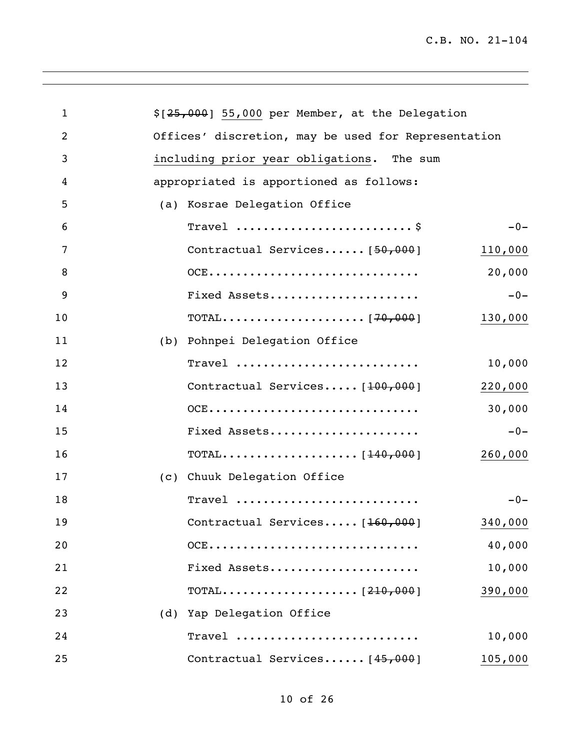| $\mathbf{1}$ | $$[25,000]$ 55,000 per Member, at the Delegation    |
|--------------|-----------------------------------------------------|
| 2            | Offices' discretion, may be used for Representation |
| 3            | including prior year obligations. The sum           |
| 4            | appropriated is apportioned as follows:             |
| 5            | (a) Kosrae Delegation Office                        |
| 6            | Travel  \$<br>$-0-$                                 |
| 7            | Contractual Services $[50,000]$<br>110,000          |
| 8            | OCE<br>20,000                                       |
| 9            | Fixed Assets<br>$-0-$                               |
| 10           | 130,000                                             |
| 11           | (b) Pohnpei Delegation Office                       |
| 12           | Travel<br>10,000                                    |
| 13           | Contractual Services [100,000]<br>220,000           |
| 14           | $OCE$<br>30,000                                     |
| 15           | Fixed Assets<br>$-0-$                               |
| 16           | 260,000                                             |
| 17           | (c) Chuuk Delegation Office                         |
| 18           | Travel<br>$-0-$                                     |
| 19           | Contractual Services [160,000]<br>340,000           |
| 20           | OCE<br>40,000                                       |
| 21           | 10,000<br>Fixed Assets                              |
| 22           | 390,000                                             |
| 23           | (d) Yap Delegation Office                           |
| 24           | Travel<br>10,000                                    |
| 25           | Contractual Services [45,000]<br>105,000            |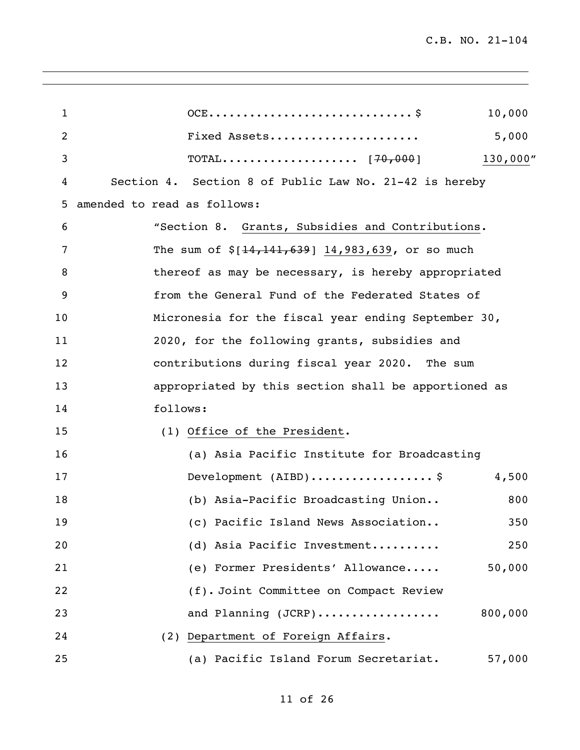| $\mathbf{1}$ | 10,000                                                 |
|--------------|--------------------------------------------------------|
| 2            | Fixed Assets<br>5,000                                  |
| 3            | 130,000"                                               |
| 4            | Section 4. Section 8 of Public Law No. 21-42 is hereby |
| 5            | amended to read as follows:                            |
| 6            | "Section 8. Grants, Subsidies and Contributions.       |
| 7            | The sum of $\S[14, 141, 639]$ 14,983,639, or so much   |
| 8            | thereof as may be necessary, is hereby appropriated    |
| 9            | from the General Fund of the Federated States of       |
| 10           | Micronesia for the fiscal year ending September 30,    |
| 11           | 2020, for the following grants, subsidies and          |
| 12           | contributions during fiscal year 2020. The sum         |
| 13           | appropriated by this section shall be apportioned as   |
| 14           | follows:                                               |
| 15           | (1) Office of the President.                           |
| 16           | (a) Asia Pacific Institute for Broadcasting            |
| 17           | Development (AIBD)\$<br>4,500                          |
| 18           | (b) Asia-Pacific Broadcasting Union<br>800             |
| 19           | (c) Pacific Island News Association<br>350             |
| 20           | 250<br>(d) Asia Pacific Investment                     |
| 21           | (e) Former Presidents' Allowance<br>50,000             |
| 22           | (f). Joint Committee on Compact Review                 |
| 23           | and Planning (JCRP)<br>800,000                         |
| 24           | (2) Department of Foreign Affairs.                     |
| 25           | (a) Pacific Island Forum Secretariat.<br>57,000        |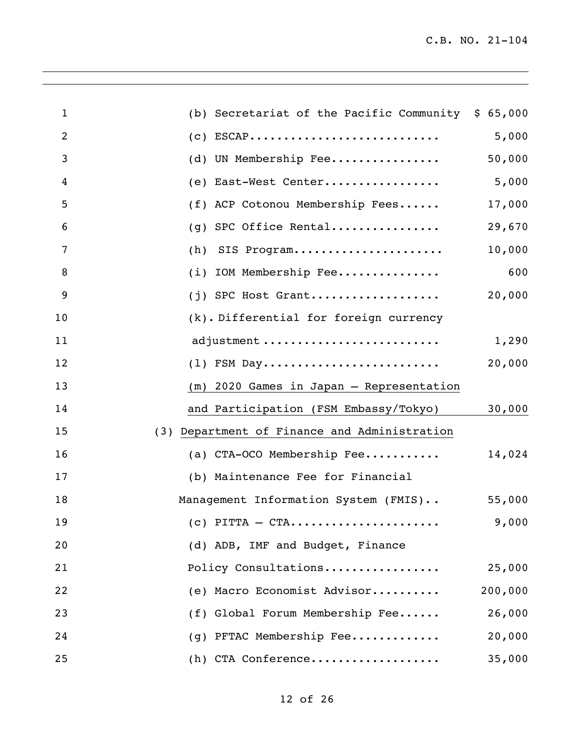| $\mathbf{1}$   | (b) Secretariat of the Pacific Community $$65,000$ |         |
|----------------|----------------------------------------------------|---------|
| $\overline{2}$ | $(c) ESCAP$                                        | 5,000   |
| 3              | (d) UN Membership Fee                              | 50,000  |
| 4              | (e) East-West Center                               | 5,000   |
| 5              | (f) ACP Cotonou Membership Fees                    | 17,000  |
| 6              | (g) SPC Office Rental                              | 29,670  |
| 7              | SIS Program<br>(h)                                 | 10,000  |
| 8              | (i) IOM Membership Fee                             | 600     |
| 9              | $(j)$ SPC Host Grant                               | 20,000  |
| 10             | (k). Differential for foreign currency             |         |
| 11             | adjustment                                         | 1,290   |
| 12             | $(1)$ FSM Day                                      | 20,000  |
| 13             | (m) 2020 Games in Japan - Representation           |         |
| 14             | and Participation (FSM Embassy/Tokyo)              | 30,000  |
| 15             | (3) Department of Finance and Administration       |         |
| 16             | (a) CTA-OCO Membership Fee                         | 14,024  |
| 17             | (b) Maintenance Fee for Financial                  |         |
| 18             | Management Information System (FMIS)               | 55,000  |
| 19             | $(c)$ PITTA $-$ CTA                                | 9,000   |
| 20             | (d) ADB, IMF and Budget, Finance                   |         |
| 21             | Policy Consultations                               | 25,000  |
| 22             | (e) Macro Economist Advisor                        | 200,000 |
| 23             | (f) Global Forum Membership Fee                    | 26,000  |
| 24             | (g) PFTAC Membership Fee                           | 20,000  |
| 25             | (h) CTA Conference                                 | 35,000  |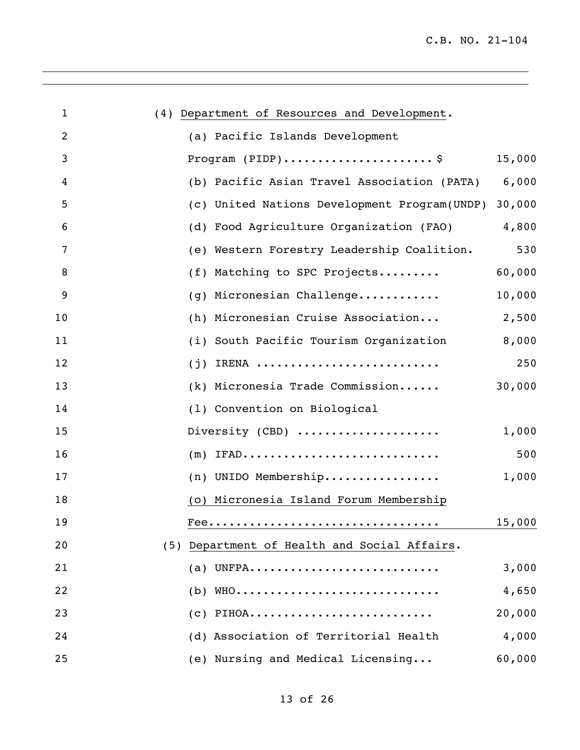| $\mathbf{1}$ | (4) Department of Resources and Development. |        |
|--------------|----------------------------------------------|--------|
| 2            | (a) Pacific Islands Development              |        |
| 3            | Program $(PIDP)$ \$                          | 15,000 |
| 4            | (b) Pacific Asian Travel Association (PATA)  | 6,000  |
| 5            | (c) United Nations Development Program(UNDP) | 30,000 |
| 6            | (d) Food Agriculture Organization (FAO)      | 4,800  |
| 7            | (e) Western Forestry Leadership Coalition.   | 530    |
| 8            | (f) Matching to SPC Projects                 | 60,000 |
| 9            | (g) Micronesian Challenge                    | 10,000 |
| 10           | (h) Micronesian Cruise Association           | 2,500  |
| 11           | (i) South Pacific Tourism Organization       | 8,000  |
| 12           | $(j)$ IRENA                                  | 250    |
| 13           | (k) Micronesia Trade Commission              | 30,000 |
| 14           | (1) Convention on Biological                 |        |
| 15           | Diversity (CBD)                              | 1,000  |
| 16           | $(m)$ IFAD                                   | 500    |
| 17           | (n) UNIDO Membership                         | 1,000  |
| 18           | (o) Micronesia Island Forum Membership       |        |
| 19           |                                              | 15,000 |
| 20           | (5) Department of Health and Social Affairs. |        |
| 21           | $(a)$ UNFPA                                  | 3,000  |
| 22           | (b) WHO                                      | 4,650  |
| 23           | $(c)$ PIHOA                                  | 20,000 |
| 24           | (d) Association of Territorial Health        | 4,000  |
| 25           | (e) Nursing and Medical Licensing            | 60,000 |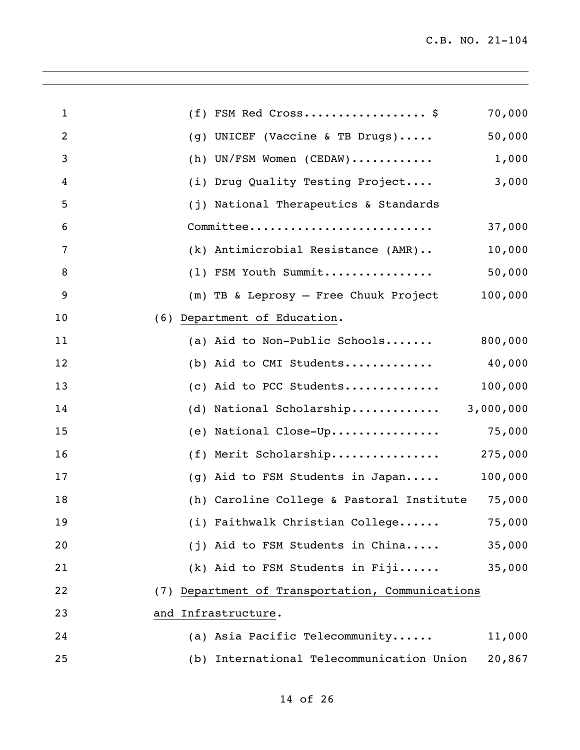| $\mathbf{1}$   | $(f)$ FSM Red Cross\$<br>70,000                         |
|----------------|---------------------------------------------------------|
| $\overline{2}$ | 50,000<br>(g) UNICEF (Vaccine & TB Drugs)               |
| 3              | (h) UN/FSM Women (CEDAW)<br>1,000                       |
| 4              | (i) Drug Quality Testing Project<br>3,000               |
| 5              | (j) National Therapeutics & Standards                   |
| 6              | Committee<br>37,000                                     |
| 7              | $(k)$ Antimicrobial Resistance $(AMR) \ldots$<br>10,000 |
| 8              | (1) FSM Youth Summit<br>50,000                          |
| 9              | 100,000<br>(m) TB & Leprosy - Free Chuuk Project        |
| 10             | (6) Department of Education.                            |
| 11             | 800,000<br>(a) Aid to Non-Public Schools                |
| 12             | (b) Aid to CMI Students<br>40,000                       |
| 13             | (c) Aid to PCC Students<br>100,000                      |
| 14             | (d) National Scholarship<br>3,000,000                   |
| 15             | (e) National Close-Up<br>75,000                         |
| 16             | (f) Merit Scholarship<br>275,000                        |
| 17             | 100,000<br>(g) Aid to FSM Students in Japan             |
| 18             | (h) Caroline College & Pastoral Institute<br>75,000     |
| 19             | (i) Faithwalk Christian College<br>75,000               |
| 20             | (j) Aid to FSM Students in China<br>35,000              |
| 21             | (k) Aid to FSM Students in Fiji<br>35,000               |
| 22             | (7) Department of Transportation, Communications        |
| 23             | and Infrastructure.                                     |
| 24             | (a) Asia Pacific Telecommunity<br>11,000                |
| 25             | (b) International Telecommunication Union<br>20,867     |
|                |                                                         |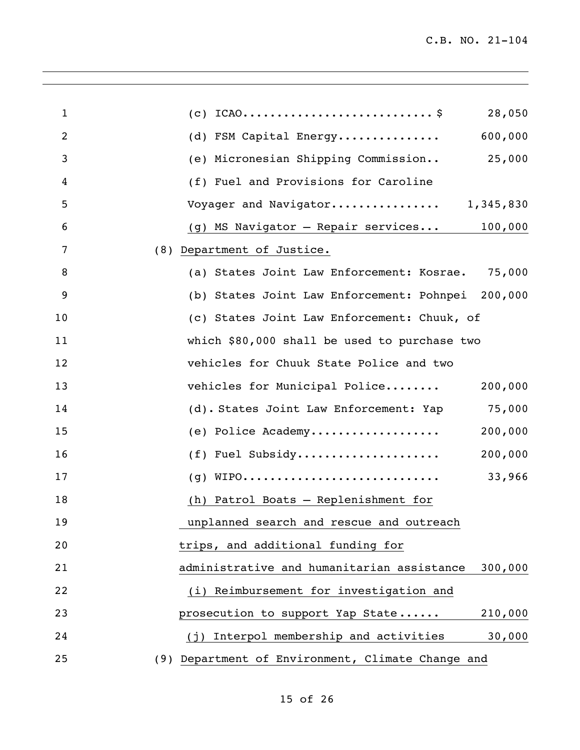| $\mathbf{1}$   | 28,050                                                |
|----------------|-------------------------------------------------------|
| $\overline{2}$ | (d) FSM Capital Energy<br>600,000                     |
| 3              | (e) Micronesian Shipping Commission 25,000            |
| 4              | (f) Fuel and Provisions for Caroline                  |
| 5              | Voyager and Navigator 1,345,830                       |
| 6              | (g) MS Navigator - Repair services 100,000            |
| 7              | (8) Department of Justice.                            |
| 8              | (a) States Joint Law Enforcement: Kosrae. 75,000      |
| 9              | (b) States Joint Law Enforcement: Pohnpei 200,000     |
| 10             | (c) States Joint Law Enforcement: Chuuk, of           |
| 11             | which \$80,000 shall be used to purchase two          |
| 12             | vehicles for Chuuk State Police and two               |
| 13             | vehicles for Municipal Police<br>200,000              |
| 14             | (d). States Joint Law Enforcement: Yap 75,000         |
| 15             | (e) Police Academy<br>200,000                         |
| 16             | (f) Fuel Subsidy<br>200,000                           |
| 17             | 33,966                                                |
| 18             | (h) Patrol Boats - Replenishment for                  |
| 19             | unplanned search and rescue and outreach              |
| 20             | trips, and additional funding for                     |
| 21             | administrative and humanitarian assistance<br>300,000 |
| 22             | (i) Reimbursement for investigation and               |
| 23             | 210,000<br>prosecution to support Yap State           |
| 24             | (j) Interpol membership and activities<br>30,000      |
| 25             | (9) Department of Environment, Climate Change and     |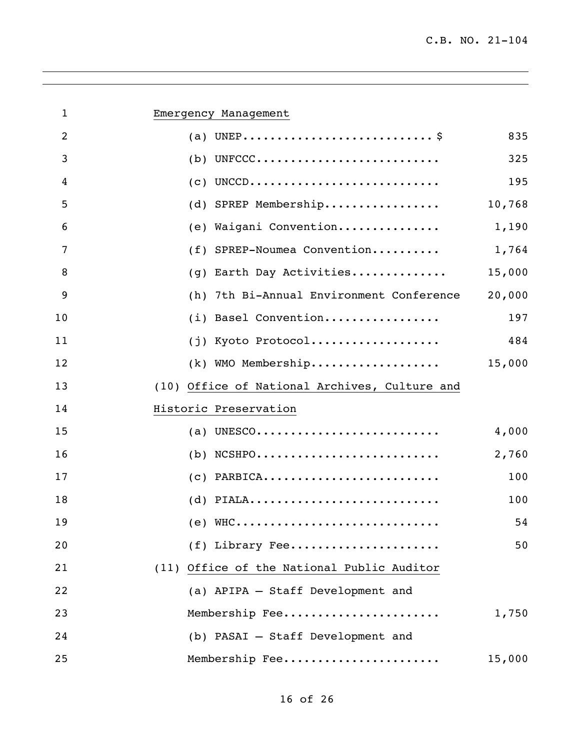| $\mathbf{1}$   | Emergency Management                                                        |        |
|----------------|-----------------------------------------------------------------------------|--------|
| $\overline{2}$ |                                                                             | 835    |
| 3              | $(b)$ UNFCCC                                                                | 325    |
| 4              | $(c)$ UNCCD                                                                 | 195    |
| 5              | (d) SPREP Membership                                                        | 10,768 |
| 6              | (e) Waigani Convention                                                      | 1,190  |
| 7              | (f) SPREP-Noumea Convention                                                 | 1,764  |
| 8              | (g) Earth Day Activities                                                    | 15,000 |
| 9              | (h) 7th Bi-Annual Environment Conference                                    | 20,000 |
| 10             | (i) Basel Convention                                                        | 197    |
| 11             | (j) Kyoto Protocol                                                          | 484    |
| 12             | (k) WMO Membership                                                          | 15,000 |
| 13             | (10) Office of National Archives, Culture and                               |        |
| 14             | Historic Preservation                                                       |        |
| 15             | (a) UNESCO                                                                  | 4,000  |
| 16             | $(b)$ NCSHPO                                                                | 2,760  |
| 17             | $(c)$ PARBICA                                                               | 100    |
| 18             | $(d)$ PIALA                                                                 | 100    |
| 19             | (e) $WHC \dots \dots \dots \dots \dots \dots \dots \dots \dots \dots \dots$ | 54     |
| 20             | $(f)$ Library Fee                                                           | 50     |
| 21             | (11) Office of the National Public Auditor                                  |        |
| 22             | (a) APIPA - Staff Development and                                           |        |
| 23             | Membership Fee                                                              | 1,750  |
| 24             | (b) PASAI - Staff Development and                                           |        |
| 25             | Membership Fee                                                              | 15,000 |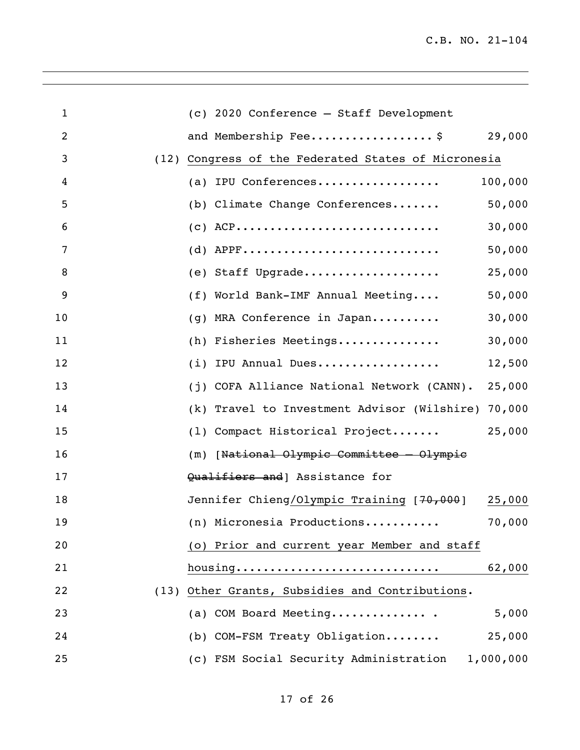| $\mathbf{1}$   | (c) 2020 Conference - Staff Development                |
|----------------|--------------------------------------------------------|
| $\overline{2}$ | and Membership Fee\$<br>29,000                         |
| 3              | Congress of the Federated States of Micronesia<br>(12) |
| 4              | 100,000<br>(a) IPU Conferences                         |
| 5              | (b) Climate Change Conferences<br>50,000               |
| 6              | $(C)$ ACP<br>30,000                                    |
| 7              | $(d)$ APPF<br>50,000                                   |
| 8              | (e) Staff Upgrade<br>25,000                            |
| 9              | (f) World Bank-IMF Annual Meeting<br>50,000            |
| 10             | (g) MRA Conference in Japan<br>30,000                  |
| 11             | (h) Fisheries Meetings<br>30,000                       |
| 12             | (i) IPU Annual Dues<br>12,500                          |
| 13             | (j) COFA Alliance National Network (CANN).<br>25,000   |
| 14             | (k) Travel to Investment Advisor (Wilshire)<br>70,000  |
| 15             | 25,000<br>(1) Compact Historical Project               |
| 16             | (m) [National Olympic Committee - Olympic              |
| 17             | Qualifiers and   Assistance for                        |
| 18             | Jennifer Chieng/Olympic Training [70,000]<br>25,000    |
| 19             | (n) Micronesia Productions<br>70,000                   |
| 20             | (o) Prior and current year Member and staff            |
| 21             | 62,000                                                 |
| 22             | (13) Other Grants, Subsidies and Contributions.        |
| 23             | 5,000<br>(a) COM Board Meeting                         |
| 24             | (b) COM-FSM Treaty Obligation<br>25,000                |
| 25             | (c) FSM Social Security Administration<br>1,000,000    |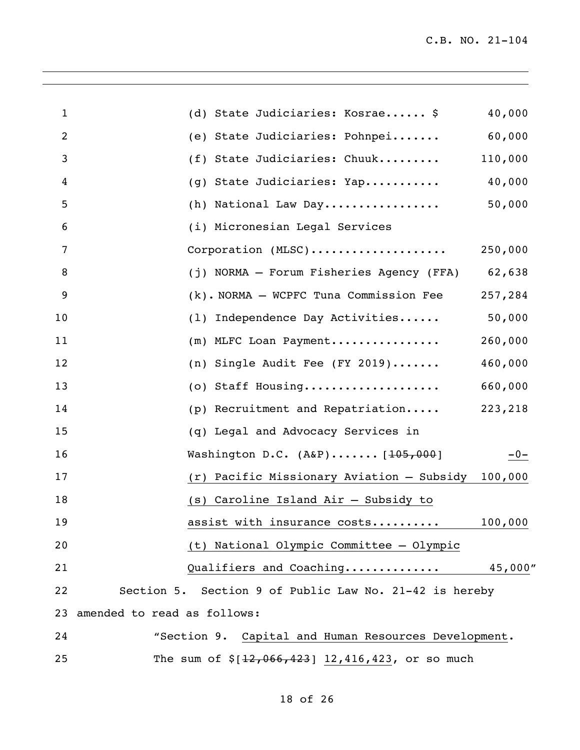| $\mathbf{1}$   | (d) State Judiciaries: Kosrae \$                       | 40,000  |
|----------------|--------------------------------------------------------|---------|
| $\overline{2}$ | (e) State Judiciaries: Pohnpei                         | 60,000  |
| 3              | (f) State Judiciaries: Chuuk                           | 110,000 |
| 4              | (g) State Judiciaries: Yap                             | 40,000  |
| 5              | (h) National Law Day                                   | 50,000  |
| 6              | (i) Micronesian Legal Services                         |         |
| 7              | Corporation (MLSC)                                     | 250,000 |
| 8              | (j) NORMA - Forum Fisheries Agency (FFA) 62,638        |         |
| 9              | (k). NORMA - WCPFC Tuna Commission Fee                 | 257,284 |
| 10             | (1) Independence Day Activities                        | 50,000  |
| 11             | (m) MLFC Loan Payment                                  | 260,000 |
| 12             | (n) Single Audit Fee (FY 2019)                         | 460,000 |
| 13             | (o) Staff Housing                                      | 660,000 |
| 14             | (p) Recruitment and Repatriation                       | 223,218 |
| 15             | (q) Legal and Advocacy Services in                     |         |
| 16             | Washington D.C. $(A\&P)$ $[105,000]$                   | $-0-$   |
| 17             | (r) Pacific Missionary Aviation - Subsidy 100,000      |         |
| 18             | (s) Caroline Island Air - Subsidy to                   |         |
| 19             | assist with insurance costs                            | 100,000 |
| 20             | (t) National Olympic Committee - Olympic               |         |
| 21             | Qualifiers and Coaching                                | 45,000" |
| 22             | Section 5. Section 9 of Public Law No. 21-42 is hereby |         |
| 23             | amended to read as follows:                            |         |
| 24             | "Section 9. Capital and Human Resources Development.   |         |
| 25             | The sum of $$[12,066,423]$ 12,416,423, or so much      |         |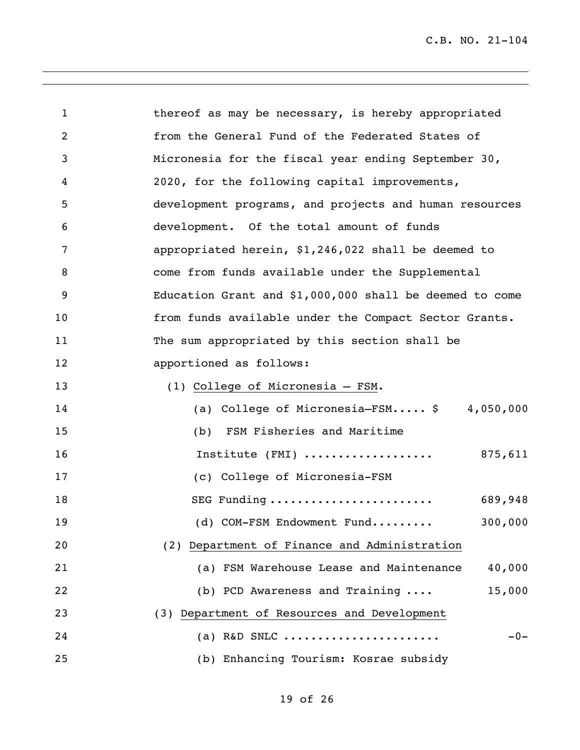| $\mathbf{1}$   | thereof as may be necessary, is hereby appropriated      |
|----------------|----------------------------------------------------------|
| $\overline{2}$ | from the General Fund of the Federated States of         |
| 3              | Micronesia for the fiscal year ending September 30,      |
| 4              | 2020, for the following capital improvements,            |
| 5              | development programs, and projects and human resources   |
| 6              | development. Of the total amount of funds                |
| 7              | appropriated herein, \$1,246,022 shall be deemed to      |
| 8              | come from funds available under the Supplemental         |
| 9              | Education Grant and $$1,000,000$ shall be deemed to come |
| 10             | from funds available under the Compact Sector Grants.    |
| 11             | The sum appropriated by this section shall be            |
| 12             | apportioned as follows:                                  |
| 13             | (1) College of Micronesia - FSM.                         |
| 14             | (a) College of Micronesia-FSM $\frac{1}{2}$ 4,050,000    |
| 15             | (b) FSM Fisheries and Maritime                           |
| 16             | Institute (FMI)<br>875,611                               |
| 17             | (c) College of Micronesia-FSM                            |
| 18             | SEG Funding<br>689,948                                   |
| 19             | 300,000<br>(d) COM-FSM Endowment Fund                    |
| 20             | (2) Department of Finance and Administration             |
| 21             | 40,000<br>(a) FSM Warehouse Lease and Maintenance        |
| 22             | 15,000<br>(b) PCD Awareness and Training                 |
| 23             | (3) Department of Resources and Development              |
| 24             | $-0-$<br>(a) R&D SNLC                                    |
| 25             | (b) Enhancing Tourism: Kosrae subsidy                    |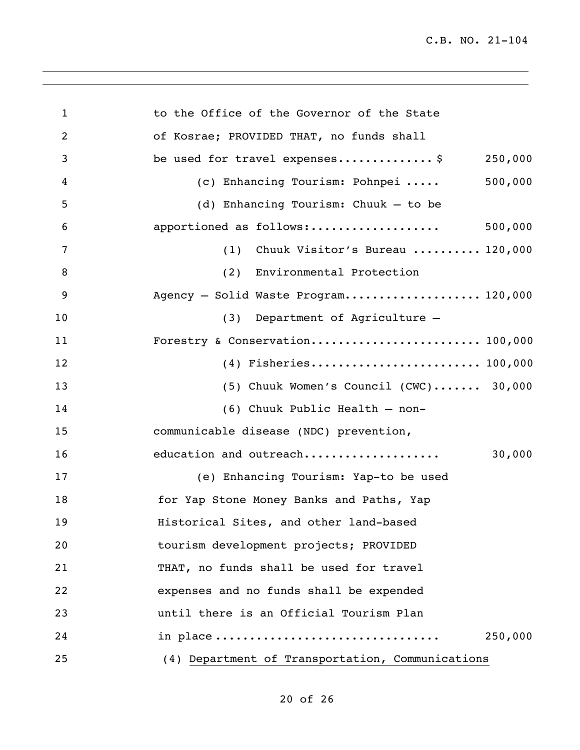| $\mathbf{1}$   | to the Office of the Governor of the State       |
|----------------|--------------------------------------------------|
| $\overline{2}$ | of Kosrae; PROVIDED THAT, no funds shall         |
| 3              | be used for travel expenses \$<br>250,000        |
| 4              | 500,000<br>(c) Enhancing Tourism: Pohnpei        |
| 5              | (d) Enhancing Tourism: Chuuk - to be             |
| 6              | 500,000<br>apportioned as follows:               |
| 7              | Chuuk Visitor's Bureau  120,000<br>(1)           |
| 8              | (2) Environmental Protection                     |
| 9              | Agency - Solid Waste Program 120,000             |
| 10             | (3) Department of Agriculture -                  |
| 11             | Forestry & Conservation 100,000                  |
| 12             |                                                  |
| 13             | $(5)$ Chuuk Women's Council $(CWC)$ 30,000       |
| 14             | (6) Chuuk Public Health - non-                   |
| 15             | communicable disease (NDC) prevention,           |
| 16             | 30,000<br>education and outreach                 |
| 17             | (e) Enhancing Tourism: Yap-to be used            |
| 18             | for Yap Stone Money Banks and Paths, Yap         |
| 19             | Historical Sites, and other land-based           |
| 20             | tourism development projects; PROVIDED           |
| 21             | THAT, no funds shall be used for travel          |
| 22             | expenses and no funds shall be expended          |
| 23             | until there is an Official Tourism Plan          |
| 24             | in place<br>250,000                              |
| 25             | (4) Department of Transportation, Communications |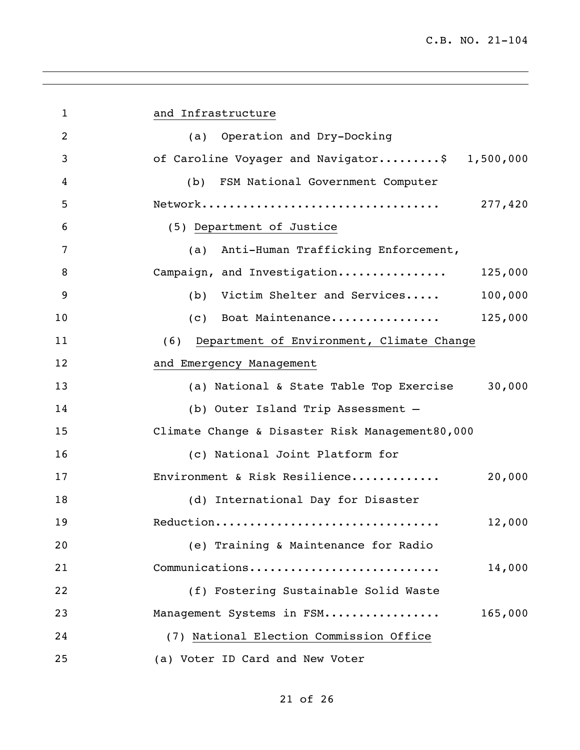| $\mathbf{1}$   | and Infrastructure                                |
|----------------|---------------------------------------------------|
| $\overline{2}$ | (a) Operation and Dry-Docking                     |
| 3              | of Caroline Voyager and Navigator\$ 1,500,000     |
| 4              | FSM National Government Computer<br>(b)           |
| 5              | 277,420                                           |
| 6              | (5) Department of Justice                         |
| 7              | (a) Anti-Human Trafficking Enforcement,           |
| 8              | Campaign, and Investigation 125,000               |
| 9              | (b) Victim Shelter and Services<br>100,000        |
| 10             | (c) Boat Maintenance<br>125,000                   |
| 11             | Department of Environment, Climate Change<br>(6)  |
| 12             | and Emergency Management                          |
| 13             | (a) National & State Table Top Exercise<br>30,000 |
| 14             | (b) Outer Island Trip Assessment -                |
| 15             | Climate Change & Disaster Risk Management80,000   |
| 16             | (c) National Joint Platform for                   |
| 17             | Environment & Risk Resilience<br>20,000           |
| 18             | (d) International Day for Disaster                |
| 19             | Reduction<br>12,000                               |
| 20             | (e) Training & Maintenance for Radio              |
| 21             | Communications<br>14,000                          |
| 22             | (f) Fostering Sustainable Solid Waste             |
| 23             | Management Systems in FSM<br>165,000              |
| 24             | (7) National Election Commission Office           |
| 25             | (a) Voter ID Card and New Voter                   |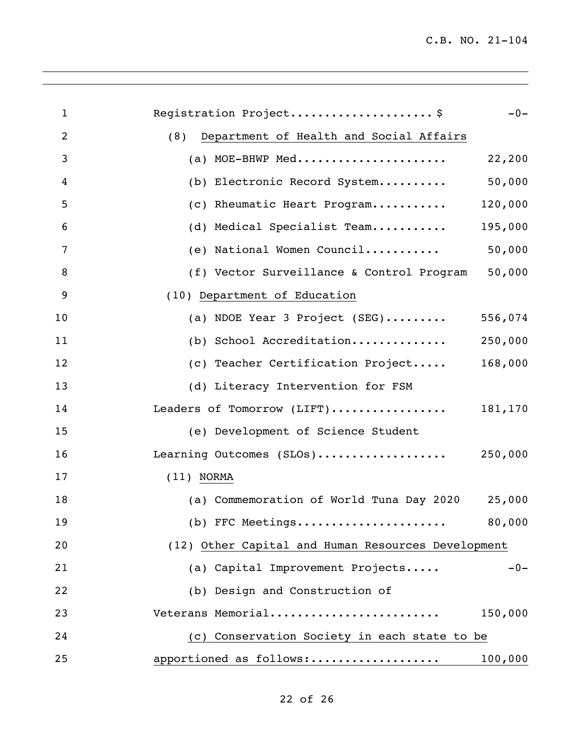| $\mathbf{1}$ | Registration Project\$                              | $-0-$ |
|--------------|-----------------------------------------------------|-------|
| 2            | (8)<br>Department of Health and Social Affairs      |       |
| 3            | (a) MOE-BHWP Med<br>22,200                          |       |
| 4            | 50,000<br>(b) Electronic Record System              |       |
| 5            | (c) Rheumatic Heart Program<br>120,000              |       |
| 6            | (d) Medical Specialist Team<br>195,000              |       |
| 7            | (e) National Women Council<br>50,000                |       |
| 8            | 50,000<br>(f) Vector Surveillance & Control Program |       |
| 9            | (10) Department of Education                        |       |
| 10           | (a) NDOE Year 3 Project $(SEG)$<br>556,074          |       |
| 11           | (b) School Accreditation<br>250,000                 |       |
| 12           | 168,000<br>(c) Teacher Certification Project        |       |
| 13           | (d) Literacy Intervention for FSM                   |       |
| 14           | Leaders of Tomorrow (LIFT) 181,170                  |       |
| 15           | (e) Development of Science Student                  |       |
| 16           | Learning Outcomes (SLOs)<br>250,000                 |       |
| 17           | $(11)$ NORMA                                        |       |
| 18           | (a) Commemoration of World Tuna Day 2020<br>25,000  |       |
| 19           | (b) FFC Meetings<br>80,000                          |       |
| 20           | (12) Other Capital and Human Resources Development  |       |
| 21           | (a) Capital Improvement Projects                    | $-0-$ |
| 22           | (b) Design and Construction of                      |       |
| 23           | Veterans Memorial<br>150,000                        |       |
| 24           | (c) Conservation Society in each state to be        |       |
| 25           | apportioned as follows:<br>100,000                  |       |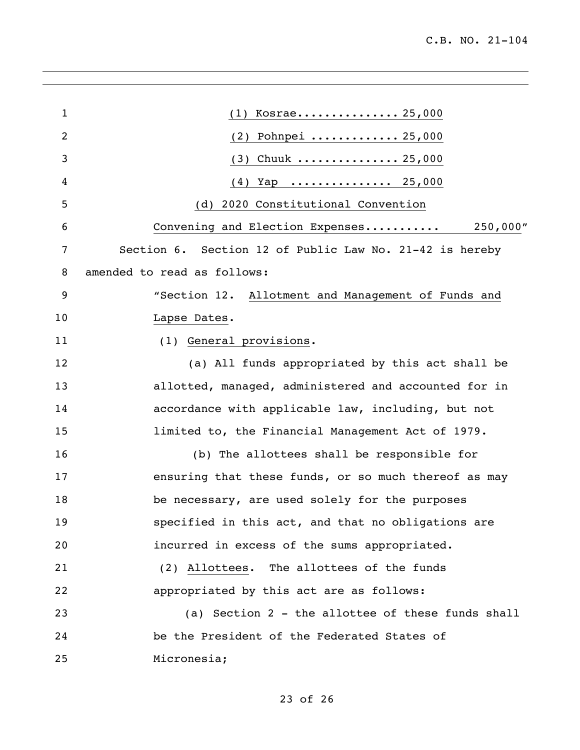| $\mathbf 1$ | $(1)$ Kosrae 25,000                                     |
|-------------|---------------------------------------------------------|
| 2           | (2) Pohnpei  25,000                                     |
| 3           | $(3)$ Chuuk  25,000                                     |
| 4           | $(4)$ Yap  25,000                                       |
| 5           | (d) 2020 Constitutional Convention                      |
| 6           | Convening and Election Expenses 250,000"                |
| 7           | Section 6. Section 12 of Public Law No. 21-42 is hereby |
| 8           | amended to read as follows:                             |
| 9           | "Section 12. Allotment and Management of Funds and      |
| 10          | Lapse Dates.                                            |
| 11          | (1) General provisions.                                 |
| 12          | (a) All funds appropriated by this act shall be         |
| 13          | allotted, managed, administered and accounted for in    |
| 14          | accordance with applicable law, including, but not      |
| 15          | limited to, the Financial Management Act of 1979.       |
| 16          | (b) The allottees shall be responsible for              |
| 17          | ensuring that these funds, or so much thereof as may    |
| 18          | be necessary, are used solely for the purposes          |
| 19          | specified in this act, and that no obligations are      |
| 20          | incurred in excess of the sums appropriated.            |
| 21          | (2) Allottees. The allottees of the funds               |
| 22          | appropriated by this act are as follows:                |
| 23          | (a) Section 2 - the allottee of these funds shall       |
| 24          | be the President of the Federated States of             |
| 25          | Micronesia;                                             |

## of 26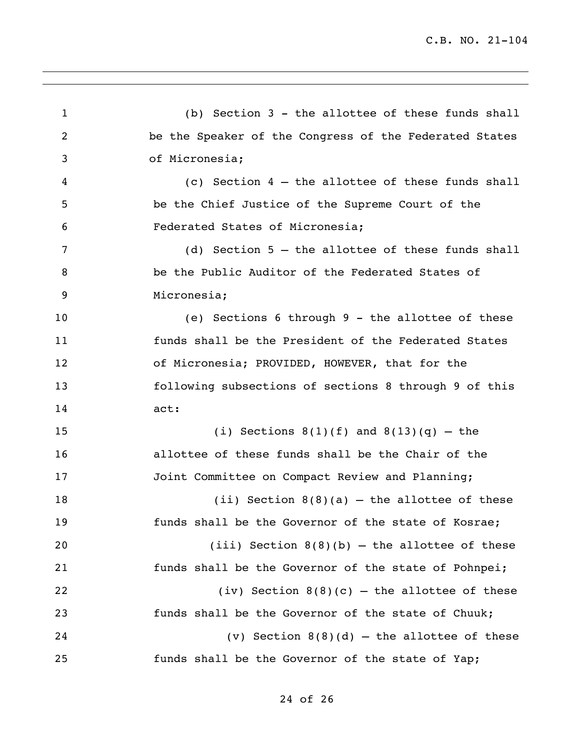(b) Section 3 - the allottee of these funds shall be the Speaker of the Congress of the Federated States of Micronesia; (c) Section 4 – the allottee of these funds shall be the Chief Justice of the Supreme Court of the Federated States of Micronesia; (d) Section 5 – the allottee of these funds shall be the Public Auditor of the Federated States of Micronesia; (e) Sections 6 through 9 - the allottee of these funds shall be the President of the Federated States of Micronesia; PROVIDED, HOWEVER, that for the following subsections of sections 8 through 9 of this act: 15 (i) Sections  $8(1)(f)$  and  $8(13)(q)$  – the allottee of these funds shall be the Chair of the 17 Joint Committee on Compact Review and Planning; 18 (ii) Section 8(8)(a) – the allottee of these funds shall be the Governor of the state of Kosrae; 20 (iii) Section  $8(8)(b)$  – the allottee of these funds shall be the Governor of the state of Pohnpei; 22 (iv) Section  $8(8)(c)$  – the allottee of these funds shall be the Governor of the state of Chuuk; (v) Section 8(8)(d) – the allottee of these funds shall be the Governor of the state of Yap;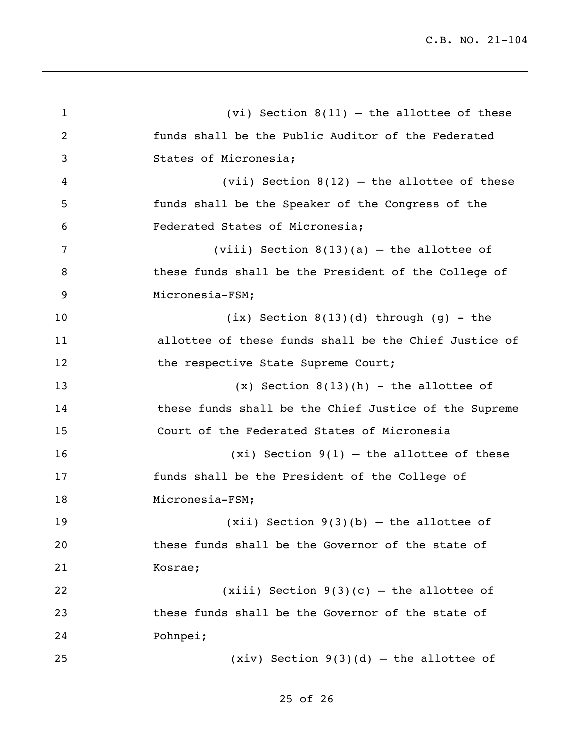1 (vi) Section 8(11) – the allottee of these funds shall be the Public Auditor of the Federated States of Micronesia; (vii) Section 8(12) – the allottee of these funds shall be the Speaker of the Congress of the Federated States of Micronesia; (viii) Section 8(13)(a) – the allottee of these funds shall be the President of the College of Micronesia-FSM; (ix) Section 8(13)(d) through (g) - the allottee of these funds shall be the Chief Justice of 12 the respective State Supreme Court; (x) Section 8(13)(h) - the allottee of these funds shall be the Chief Justice of the Supreme Court of the Federated States of Micronesia (xi) Section 9(1) – the allottee of these funds shall be the President of the College of 18 Micronesia-FSM; (xii) Section 9(3)(b) – the allottee of these funds shall be the Governor of the state of Kosrae; 22 (xiii) Section  $9(3)(c)$  – the allottee of these funds shall be the Governor of the state of Pohnpei; (xiv) Section 9(3)(d) – the allottee of